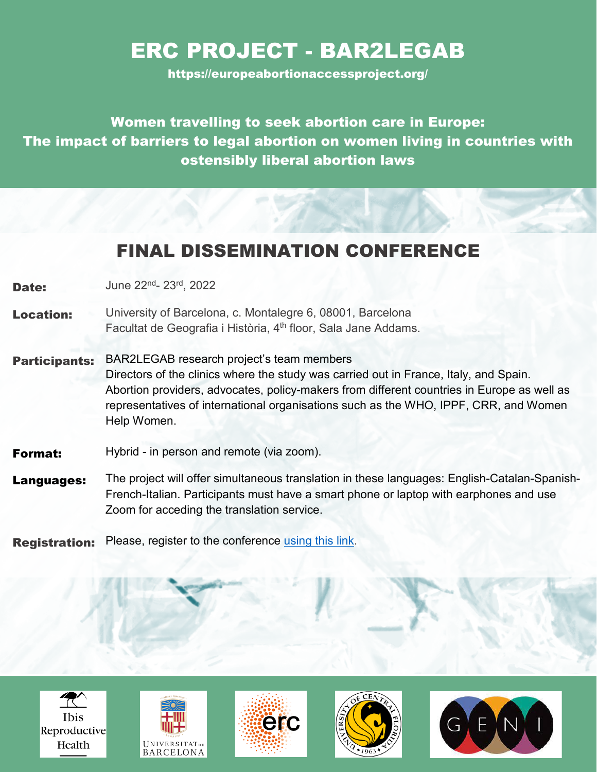#### ERC PROJECT - BAR2LEGAB

https://europeabortionaccessproject.org/

Women travelling to seek abortion care in Europe: The impact of barriers to legal abortion on women living in countries with ostensibly liberal abortion laws

#### FINAL DISSEMINATION CONFERENCE

**Date:** June 22<sup>nd</sup>- 23<sup>rd</sup>, 2022

- Location: University of Barcelona, c. Montalegre 6, 08001, Barcelona Facultat de Geografia i Història, 4<sup>th</sup> floor, Sala Jane Addams.
- Participants: BAR2LEGAB research project's team members Directors of the clinics where the study was carried out in France, Italy, and Spain. Abortion providers, advocates, policy-makers from different countries in Europe as well as representatives of international organisations such as the WHO, IPPF, CRR, and Women Help Women.
- **Format:** Hybrid in person and remote (via zoom).
- Languages: The project will offer simultaneous translation in these languages: English-Catalan-Spanish-French-Italian. Participants must have a smart phone or laptop with earphones and use Zoom for acceding the translation service.

**Registration:** Please, register to the conference [using this link.](https://forms.gle/XscMBNH8dwHfnSAw6)









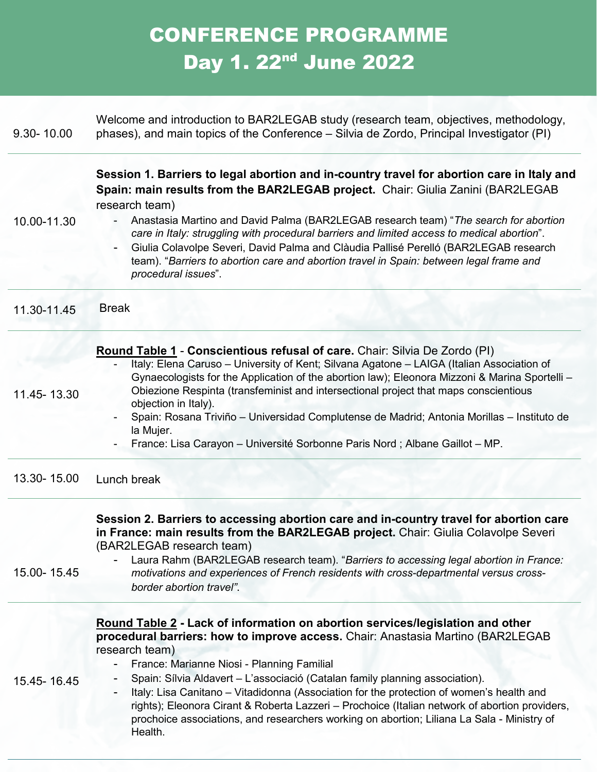## CONFERENCE PROGRAMME Day 1. 22nd June 2022

| 9.30-10.00  | Welcome and introduction to BAR2LEGAB study (research team, objectives, methodology,<br>phases), and main topics of the Conference – Silvia de Zordo, Principal Investigator (PI)                                                                                                                                                                                                                                                                                                                                                                                                                                        |
|-------------|--------------------------------------------------------------------------------------------------------------------------------------------------------------------------------------------------------------------------------------------------------------------------------------------------------------------------------------------------------------------------------------------------------------------------------------------------------------------------------------------------------------------------------------------------------------------------------------------------------------------------|
| 10.00-11.30 | Session 1. Barriers to legal abortion and in-country travel for abortion care in Italy and<br>Spain: main results from the BAR2LEGAB project. Chair: Giulia Zanini (BAR2LEGAB<br>research team)<br>Anastasia Martino and David Palma (BAR2LEGAB research team) "The search for abortion<br>care in Italy: struggling with procedural barriers and limited access to medical abortion".<br>Giulia Colavolpe Severi, David Palma and Clàudia Pallisé Perelló (BAR2LEGAB research<br>team). "Barriers to abortion care and abortion travel in Spain: between legal frame and<br>procedural issues".                         |
| 11.30-11.45 | <b>Break</b>                                                                                                                                                                                                                                                                                                                                                                                                                                                                                                                                                                                                             |
| 11.45-13.30 | Round Table 1 - Conscientious refusal of care. Chair: Silvia De Zordo (PI)<br>Italy: Elena Caruso - University of Kent; Silvana Agatone - LAIGA (Italian Association of<br>Gynaecologists for the Application of the abortion law); Eleonora Mizzoni & Marina Sportelli -<br>Obiezione Respinta (transfeminist and intersectional project that maps conscientious<br>objection in Italy).<br>Spain: Rosana Triviño - Universidad Complutense de Madrid; Antonia Morillas - Instituto de<br>la Mujer.<br>France: Lisa Carayon - Université Sorbonne Paris Nord ; Albane Gaillot - MP.                                     |
| 13.30-15.00 | Lunch break                                                                                                                                                                                                                                                                                                                                                                                                                                                                                                                                                                                                              |
| 15.00-15.45 | Session 2. Barriers to accessing abortion care and in-country travel for abortion care<br>in France: main results from the BAR2LEGAB project. Chair: Giulia Colavolpe Severi<br>(BAR2LEGAB research team)<br>Laura Rahm (BAR2LEGAB research team). "Barriers to accessing legal abortion in France:<br>motivations and experiences of French residents with cross-departmental versus cross-<br>border abortion travel".                                                                                                                                                                                                 |
| 15.45-16.45 | Round Table 2 - Lack of information on abortion services/legislation and other<br>procedural barriers: how to improve access. Chair: Anastasia Martino (BAR2LEGAB<br>research team)<br>France: Marianne Niosi - Planning Familial<br>Spain: Sílvia Aldavert – L'associació (Catalan family planning association).<br>Italy: Lisa Canitano - Vitadidonna (Association for the protection of women's health and<br>rights); Eleonora Cirant & Roberta Lazzeri - Prochoice (Italian network of abortion providers,<br>prochoice associations, and researchers working on abortion; Liliana La Sala - Ministry of<br>Health. |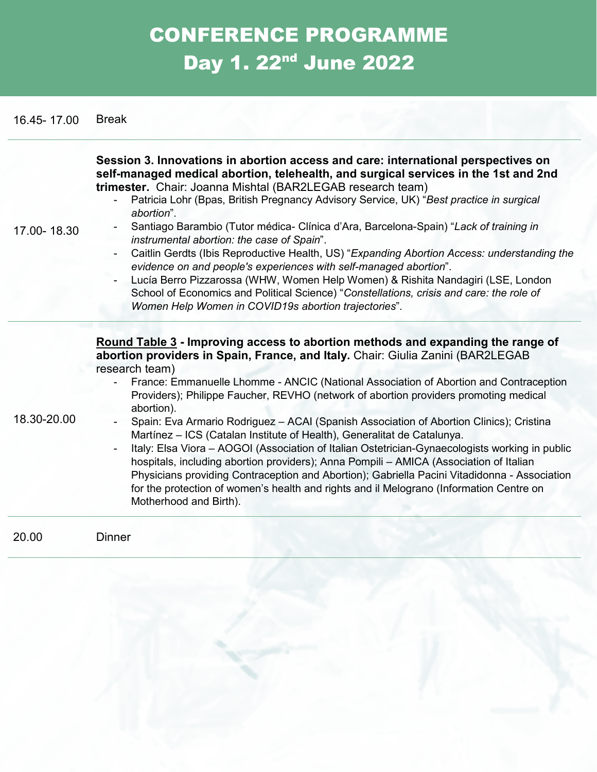# CONFERENCE PROGRAMME Day 1. 22<sup>nd</sup> June 2022

16.45- 17.00 Break

| 17.00-18.30 | Session 3. Innovations in abortion access and care: international perspectives on<br>self-managed medical abortion, telehealth, and surgical services in the 1st and 2nd<br>trimester. Chair: Joanna Mishtal (BAR2LEGAB research team)<br>Patricia Lohr (Bpas, British Pregnancy Advisory Service, UK) "Best practice in surgical<br>abortion".<br>Santiago Barambio (Tutor médica- Clínica d'Ara, Barcelona-Spain) "Lack of training in<br>instrumental abortion: the case of Spain".<br>Caitlin Gerdts (Ibis Reproductive Health, US) "Expanding Abortion Access: understanding the<br>evidence on and people's experiences with self-managed abortion".<br>Lucía Berro Pizzarossa (WHW, Women Help Women) & Rishita Nandagiri (LSE, London<br>School of Economics and Political Science) "Constellations, crisis and care: the role of<br>Women Help Women in COVID19s abortion trajectories".                                                                          |
|-------------|----------------------------------------------------------------------------------------------------------------------------------------------------------------------------------------------------------------------------------------------------------------------------------------------------------------------------------------------------------------------------------------------------------------------------------------------------------------------------------------------------------------------------------------------------------------------------------------------------------------------------------------------------------------------------------------------------------------------------------------------------------------------------------------------------------------------------------------------------------------------------------------------------------------------------------------------------------------------------|
| 18.30-20.00 | Round Table 3 - Improving access to abortion methods and expanding the range of<br>abortion providers in Spain, France, and Italy. Chair: Giulia Zanini (BAR2LEGAB<br>research team)<br>France: Emmanuelle Lhomme - ANCIC (National Association of Abortion and Contraception<br>Providers); Philippe Faucher, REVHO (network of abortion providers promoting medical<br>abortion).<br>Spain: Eva Armario Rodriguez - ACAI (Spanish Association of Abortion Clinics); Cristina<br>Martínez - ICS (Catalan Institute of Health), Generalitat de Catalunya.<br>Italy: Elsa Viora - AOGOI (Association of Italian Ostetrician-Gynaecologists working in public<br>hospitals, including abortion providers); Anna Pompili - AMICA (Association of Italian<br>Physicians providing Contraception and Abortion); Gabriella Pacini Vitadidonna - Association<br>for the protection of women's health and rights and il Melograno (Information Centre on<br>Motherhood and Birth). |
| 20.00       | <b>Dinner</b>                                                                                                                                                                                                                                                                                                                                                                                                                                                                                                                                                                                                                                                                                                                                                                                                                                                                                                                                                              |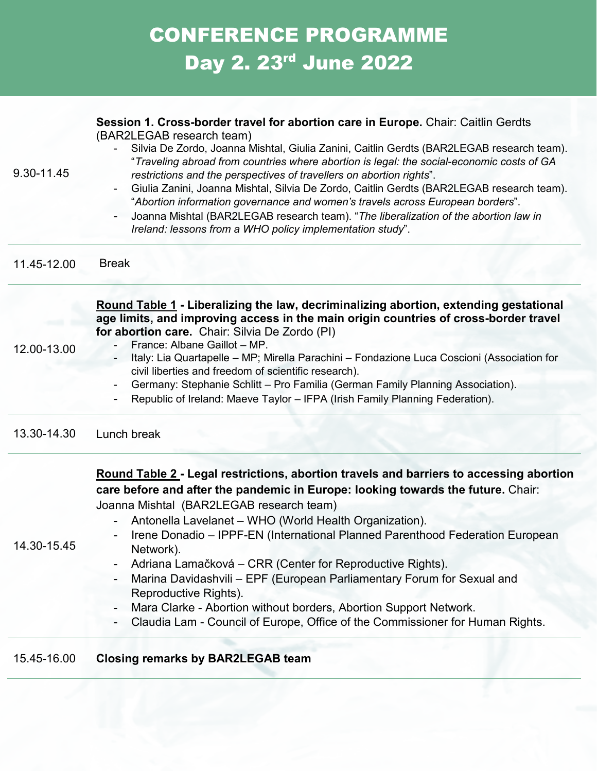# CONFERENCE PROGRAMME Day 2. 23<sup>rd</sup> June 2022

| 9.30-11.45  | Session 1. Cross-border travel for abortion care in Europe. Chair: Caitlin Gerdts<br>(BAR2LEGAB research team)<br>Silvia De Zordo, Joanna Mishtal, Giulia Zanini, Caitlin Gerdts (BAR2LEGAB research team).<br>"Traveling abroad from countries where abortion is legal: the social-economic costs of GA<br>restrictions and the perspectives of travellers on abortion rights".<br>Giulia Zanini, Joanna Mishtal, Silvia De Zordo, Caitlin Gerdts (BAR2LEGAB research team).<br>"Abortion information governance and women's travels across European borders".<br>Joanna Mishtal (BAR2LEGAB research team). "The liberalization of the abortion law in<br>Ireland: lessons from a WHO policy implementation study". |
|-------------|----------------------------------------------------------------------------------------------------------------------------------------------------------------------------------------------------------------------------------------------------------------------------------------------------------------------------------------------------------------------------------------------------------------------------------------------------------------------------------------------------------------------------------------------------------------------------------------------------------------------------------------------------------------------------------------------------------------------|
| 11.45-12.00 | <b>Break</b>                                                                                                                                                                                                                                                                                                                                                                                                                                                                                                                                                                                                                                                                                                         |
| 12.00-13.00 | Round Table 1 - Liberalizing the law, decriminalizing abortion, extending gestational<br>age limits, and improving access in the main origin countries of cross-border travel<br>for abortion care. Chair: Silvia De Zordo (PI)<br>France: Albane Gaillot - MP.<br>Italy: Lia Quartapelle - MP; Mirella Parachini - Fondazione Luca Coscioni (Association for<br>civil liberties and freedom of scientific research).<br>Germany: Stephanie Schlitt - Pro Familia (German Family Planning Association).<br>Republic of Ireland: Maeve Taylor - IFPA (Irish Family Planning Federation).                                                                                                                              |
| 13.30-14.30 | Lunch break                                                                                                                                                                                                                                                                                                                                                                                                                                                                                                                                                                                                                                                                                                          |
| 14.30-15.45 | Round Table 2 - Legal restrictions, abortion travels and barriers to accessing abortion<br>care before and after the pandemic in Europe: looking towards the future. Chair:<br>Joanna Mishtal (BAR2LEGAB research team)<br>Antonella Lavelanet - WHO (World Health Organization).<br>Irene Donadio - IPPF-EN (International Planned Parenthood Federation European<br>Network).<br>Adriana Lamačková – CRR (Center for Reproductive Rights).<br>Marina Davidashvili - EPF (European Parliamentary Forum for Sexual and<br>Reproductive Rights).<br>Mara Clarke - Abortion without borders, Abortion Support Network.<br>Claudia Lam - Council of Europe, Office of the Commissioner for Human Rights.                |
| 15 15 16 00 | Closing remarks by RAD21 FCAR team                                                                                                                                                                                                                                                                                                                                                                                                                                                                                                                                                                                                                                                                                   |

#### 16.00 **Closing remarks b**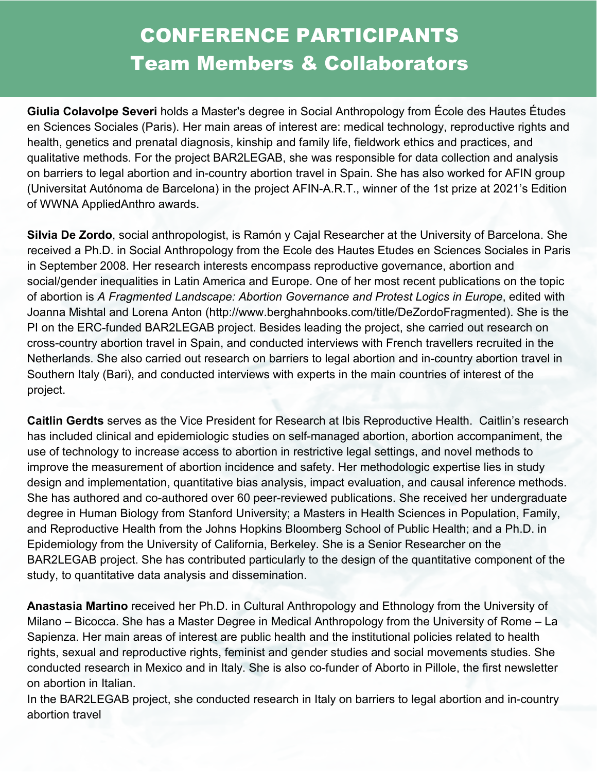#### CONFERENCE PARTICIPANTS Team Members & Collaborators

**Giulia Colavolpe Severi** holds a Master's degree in Social Anthropology from École des Hautes Études en Sciences Sociales (Paris). Her main areas of interest are: medical technology, reproductive rights and health, genetics and prenatal diagnosis, kinship and family life, fieldwork ethics and practices, and qualitative methods. For the project BAR2LEGAB, she was responsible for data collection and analysis on barriers to legal abortion and in-country abortion travel in Spain. She has also worked for AFIN group (Universitat Autónoma de Barcelona) in the project AFIN-A.R.T., winner of the 1st prize at 2021's Edition of WWNA AppliedAnthro awards.

**Silvia De Zordo**, social anthropologist, is Ramón y Cajal Researcher at the University of Barcelona. She received a Ph.D. in Social Anthropology from the Ecole des Hautes Etudes en Sciences Sociales in Paris in September 2008. Her research interests encompass reproductive governance, abortion and social/gender inequalities in Latin America and Europe. One of her most recent publications on the topic of abortion is *A Fragmented Landscape: Abortion Governance and Protest Logics in Europe*, edited with Joanna Mishtal and Lorena Anton (http://www.berghahnbooks.com/title/DeZordoFragmented). She is the PI on the ERC-funded BAR2LEGAB project. Besides leading the project, she carried out research on cross-country abortion travel in Spain, and conducted interviews with French travellers recruited in the Netherlands. She also carried out research on barriers to legal abortion and in-country abortion travel in Southern Italy (Bari), and conducted interviews with experts in the main countries of interest of the project.

**Caitlin Gerdts** serves as the Vice President for Research at Ibis Reproductive Health. Caitlin's research has included clinical and epidemiologic studies on self-managed abortion, abortion accompaniment, the use of technology to increase access to abortion in restrictive legal settings, and novel methods to improve the measurement of abortion incidence and safety. Her methodologic expertise lies in study design and implementation, quantitative bias analysis, impact evaluation, and causal inference methods. She has authored and co-authored over 60 peer-reviewed publications. She received her undergraduate degree in Human Biology from Stanford University; a Masters in Health Sciences in Population, Family, and Reproductive Health from the Johns Hopkins Bloomberg School of Public Health; and a Ph.D. in Epidemiology from the University of California, Berkeley. She is a Senior Researcher on the BAR2LEGAB project. She has contributed particularly to the design of the quantitative component of the study, to quantitative data analysis and dissemination.

**Anastasia Martino** received her Ph.D. in Cultural Anthropology and Ethnology from the University of Milano – Bicocca. She has a Master Degree in Medical Anthropology from the University of Rome – La Sapienza. Her main areas of interest are public health and the institutional policies related to health rights, sexual and reproductive rights, feminist and gender studies and social movements studies. She conducted research in Mexico and in Italy. She is also co-funder of Aborto in Pillole, the first newsletter on abortion in Italian.

In the BAR2LEGAB project, she conducted research in Italy on barriers to legal abortion and in-country abortion travel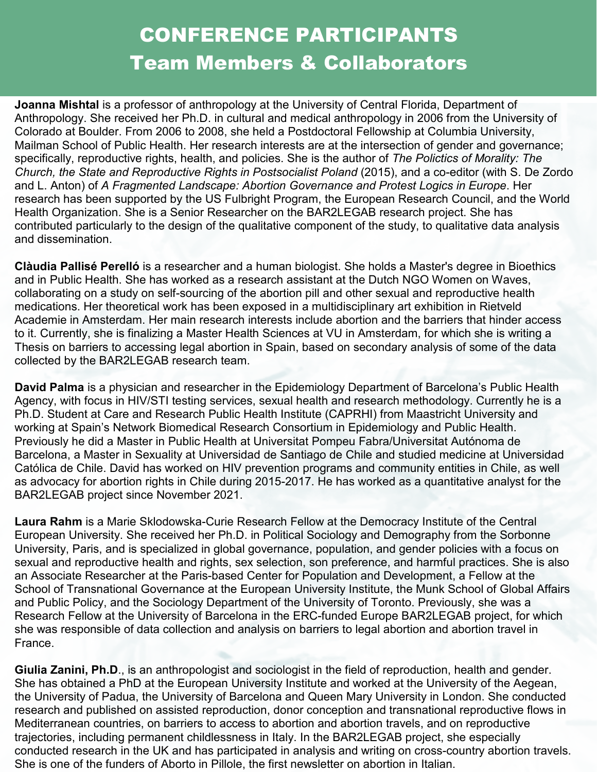#### CONFERENCE PARTICIPANTS Team Members & Collaborators

**Joanna Mishtal** is a professor of anthropology at the University of Central Florida, Department of Anthropology. She received her Ph.D. in cultural and medical anthropology in 2006 from the University of Colorado at Boulder. From 2006 to 2008, she held a Postdoctoral Fellowship at Columbia University, Mailman School of Public Health. Her research interests are at the intersection of gender and governance; specifically, reproductive rights, health, and policies. She is the author of *The Polictics of Morality: The Church, the State and Reproductive Rights in Postsocialist Poland* (2015), and a co-editor (with S. De Zordo and L. Anton) of *A Fragmented Landscape: Abortion Governance and Protest Logics in Europe*. Her research has been supported by the US Fulbright Program, the European Research Council, and the World Health Organization. She is a Senior Researcher on the BAR2LEGAB research project. She has contributed particularly to the design of the qualitative component of the study, to qualitative data analysis and dissemination.

**Clàudia Pallisé Perelló** is a researcher and a human biologist. She holds a Master's degree in Bioethics and in Public Health. She has worked as a research assistant at the Dutch NGO Women on Waves, collaborating on a study on self-sourcing of the abortion pill and other sexual and reproductive health medications. Her theoretical work has been exposed in a multidisciplinary art exhibition in Rietveld Academie in Amsterdam. Her main research interests include abortion and the barriers that hinder access to it. Currently, she is finalizing a Master Health Sciences at VU in Amsterdam, for which she is writing a Thesis on barriers to accessing legal abortion in Spain, based on secondary analysis of some of the data collected by the BAR2LEGAB research team.

**David Palma** is a physician and researcher in the Epidemiology Department of Barcelona's Public Health Agency, with focus in HIV/STI testing services, sexual health and research methodology. Currently he is a Ph.D. Student at Care and Research Public Health Institute (CAPRHI) from Maastricht University and working at Spain's Network Biomedical Research Consortium in Epidemiology and Public Health. Previously he did a Master in Public Health at Universitat Pompeu Fabra/Universitat Autónoma de Barcelona, a Master in Sexuality at Universidad de Santiago de Chile and studied medicine at Universidad Católica de Chile. David has worked on HIV prevention programs and community entities in Chile, as well as advocacy for abortion rights in Chile during 2015-2017. He has worked as a quantitative analyst for the BAR2LEGAB project since November 2021.

**Laura Rahm** is a Marie Sklodowska-Curie Research Fellow at the Democracy Institute of the Central European University. She received her Ph.D. in Political Sociology and Demography from the Sorbonne University, Paris, and is specialized in global governance, population, and gender policies with a focus on sexual and reproductive health and rights, sex selection, son preference, and harmful practices. She is also an Associate Researcher at the Paris-based Center for Population and Development, a Fellow at the School of Transnational Governance at the European University Institute, the Munk School of Global Affairs and Public Policy, and the Sociology Department of the University of Toronto. Previously, she was a Research Fellow at the University of Barcelona in the ERC-funded Europe BAR2LEGAB project, for which she was responsible of data collection and analysis on barriers to legal abortion and abortion travel in France.

trajectories, including permanent childlessness in Italy. In the BAR2LEGAB project, she especially **Giulia Zanini, Ph.D**., is an anthropologist and sociologist in the field of reproduction, health and gender. She has obtained a PhD at the European University Institute and worked at the University of the Aegean, the University of Padua, the University of Barcelona and Queen Mary University in London. She conducted research and published on assisted reproduction, donor conception and transnational reproductive flows in Mediterranean countries, on barriers to access to abortion and abortion travels, and on reproductive conducted research in the UK and has participated in analysis and writing on cross-country abortion travels. She is one of the funders of Aborto in Pillole, the first newsletter on abortion in Italian.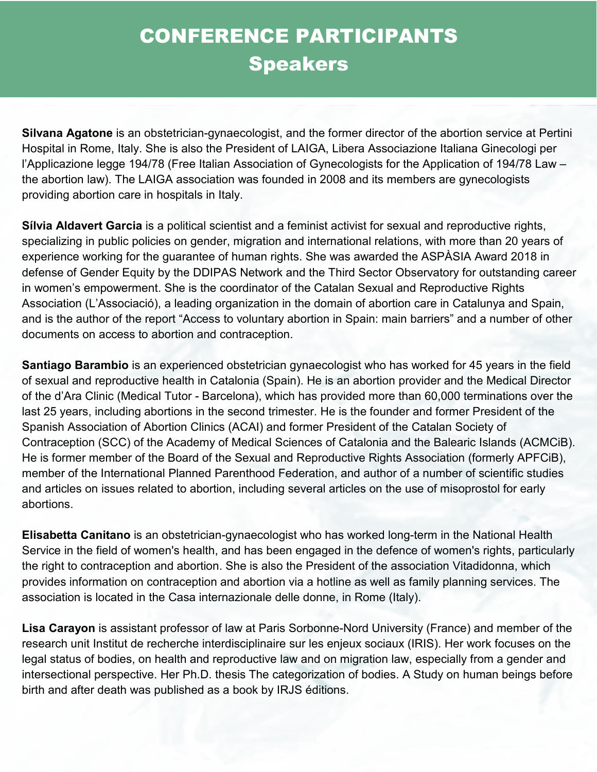**Silvana Agatone** is an obstetrician-gynaecologist, and the former director of the abortion service at Pertini Hospital in Rome, Italy. She is also the President of LAIGA, Libera Associazione Italiana Ginecologi per l'Applicazione legge 194/78 (Free Italian Association of Gynecologists for the Application of 194/78 Law – the abortion law). The LAIGA association was founded in 2008 and its members are gynecologists providing abortion care in hospitals in Italy.

**Sílvia Aldavert Garcia** is a political scientist and a feminist activist for sexual and reproductive rights, specializing in public policies on gender, migration and international relations, with more than 20 years of experience working for the guarantee of human rights. She was awarded the ASPÀSIA Award 2018 in defense of Gender Equity by the DDIPAS Network and the Third Sector Observatory for outstanding career in women's empowerment. She is the coordinator of the Catalan Sexual and Reproductive Rights Association (L'Associació), a leading organization in the domain of abortion care in Catalunya and Spain, and is the author of the report "Access to voluntary abortion in Spain: main barriers" and a number of other documents on access to abortion and contraception.

**Santiago Barambio** is an experienced obstetrician gynaecologist who has worked for 45 years in the field of sexual and reproductive health in Catalonia (Spain). He is an abortion provider and the Medical Director of the d'Ara Clinic (Medical Tutor - Barcelona), which has provided more than 60,000 terminations over the last 25 years, including abortions in the second trimester. He is the founder and former President of the Spanish Association of Abortion Clinics (ACAI) and former President of the Catalan Society of Contraception (SCC) of the Academy of Medical Sciences of Catalonia and the Balearic Islands (ACMCiB). He is former member of the Board of the Sexual and Reproductive Rights Association (formerly APFCiB), member of the International Planned Parenthood Federation, and author of a number of scientific studies and articles on issues related to abortion, including several articles on the use of misoprostol for early abortions.

**Elisabetta Canitano** is an obstetrician-gynaecologist who has worked long-term in the National Health Service in the field of women's health, and has been engaged in the defence of women's rights, particularly the right to contraception and abortion. She is also the President of the association Vitadidonna, which provides information on contraception and abortion via a hotline as well as family planning services. The association is located in the Casa internazionale delle donne, in Rome (Italy).

**Lisa Carayon** is assistant professor of law at Paris Sorbonne-Nord University (France) and member of the research unit Institut de recherche interdisciplinaire sur les enjeux sociaux (IRIS). Her work focuses on the legal status of bodies, on health and reproductive law and on migration law, especially from a gender and intersectional perspective. Her Ph.D. thesis The categorization of bodies. A Study on human beings before birth and after death was published as a book by IRJS éditions.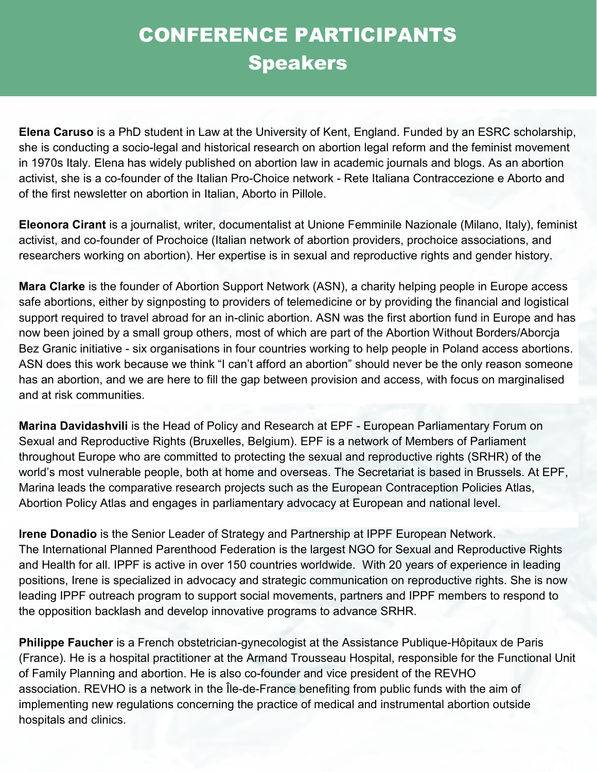**Elena Caruso** is a PhD student in Law at the University of Kent, England. Funded by an ESRC scholarship, she is conducting a socio-legal and historical research on abortion legal reform and the feminist movement in 1970s Italy. Elena has widely published on abortion law in academic journals and blogs. As an abortion activist, she is a co-founder of the Italian Pro-Choice network - Rete Italiana Contraccezione e Aborto and of the first newsletter on abortion in Italian, Aborto in Pillole.

**Eleonora Cirant** is a journalist, writer, documentalist at Unione Femminile Nazionale (Milano, Italy), feminist activist, and co-founder of Prochoice (Italian network of abortion providers, prochoice associations, and researchers working on abortion). Her expertise is in sexual and reproductive rights and gender history.

**Mara Clarke** is the founder of Abortion Support Network (ASN), a charity helping people in Europe access safe abortions, either by signposting to providers of telemedicine or by providing the financial and logistical support required to travel abroad for an in-clinic abortion. ASN was the first abortion fund in Europe and has now been joined by a small group others, most of which are part of the Abortion Without Borders/Aborcja Bez Granic initiative - six organisations in four countries working to help people in Poland access abortions. ASN does this work because we think "I can't afford an abortion" should never be the only reason someone has an abortion, and we are here to fill the gap between provision and access, with focus on marginalised and at risk communities.

**Marina Davidashvili** is the Head of Policy and Research at EPF - European Parliamentary Forum on Sexual and Reproductive Rights (Bruxelles, Belgium). EPF is a network of Members of Parliament throughout Europe who are committed to protecting the sexual and reproductive rights (SRHR) of the world's most vulnerable people, both at home and overseas. The Secretariat is based in Brussels. At EPF, Marina leads the comparative research projects such as the European Contraception Policies Atlas, Abortion Policy Atlas and engages in parliamentary advocacy at European and national level.

**Irene Donadio** is the Senior Leader of Strategy and Partnership at IPPF European Network. The International Planned Parenthood Federation is the largest NGO for Sexual and Reproductive Rights and Health for all. IPPF is active in over 150 countries worldwide. With 20 years of experience in leading positions, Irene is specialized in advocacy and strategic communication on reproductive rights. She is now leading IPPF outreach program to support social movements, partners and IPPF members to respond to the opposition backlash and develop innovative programs to advance SRHR.

**Philippe Faucher** is a French obstetrician-gynecologist at the Assistance Publique-Hôpitaux de Paris (France). He is a hospital practitioner at the Armand Trousseau Hospital, responsible for the Functional Unit of Family Planning and abortion. He is also co-founder and vice president of the REVHO association. REVHO is a network in the Île-de-France benefiting from public funds with the aim of implementing new regulations concerning the practice of medical and instrumental abortion outside hospitals and clinics.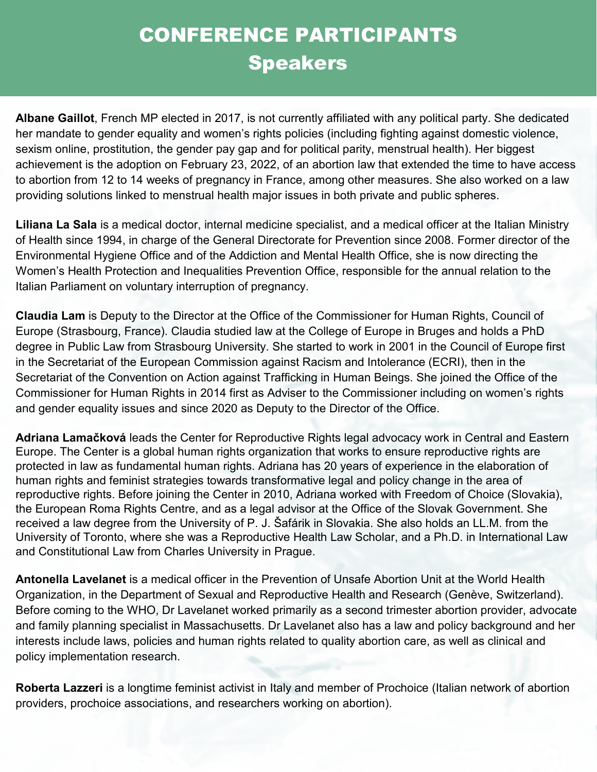**Albane Gaillot**, French MP elected in 2017, is not currently affiliated with any political party. She dedicated her mandate to gender equality and women's rights policies (including fighting against domestic violence, sexism online, prostitution, the gender pay gap and for political parity, menstrual health). Her biggest achievement is the adoption on February 23, 2022, of an abortion law that extended the time to have access to abortion from 12 to 14 weeks of pregnancy in France, among other measures. She also worked on a law providing solutions linked to menstrual health major issues in both private and public spheres.

**Liliana La Sala** is a medical doctor, internal medicine specialist, and a medical officer at the Italian Ministry of Health since 1994, in charge of the General Directorate for Prevention since 2008. Former director of the Environmental Hygiene Office and of the Addiction and Mental Health Office, she is now directing the Women's Health Protection and Inequalities Prevention Office, responsible for the annual relation to the Italian Parliament on voluntary interruption of pregnancy.

**Claudia Lam** is Deputy to the Director at the Office of the Commissioner for Human Rights, Council of Europe (Strasbourg, France). Claudia studied law at the College of Europe in Bruges and holds a PhD degree in Public Law from Strasbourg University. She started to work in 2001 in the Council of Europe first in the Secretariat of the European Commission against Racism and Intolerance (ECRI), then in the Secretariat of the Convention on Action against Trafficking in Human Beings. She joined the Office of the Commissioner for Human Rights in 2014 first as Adviser to the Commissioner including on women's rights and gender equality issues and since 2020 as Deputy to the Director of the Office.

**Adriana Lamačková** leads the Center for Reproductive Rights legal advocacy work in Central and Eastern Europe. The Center is a global human rights organization that works to ensure reproductive rights are protected in law as fundamental human rights. Adriana has 20 years of experience in the elaboration of human rights and feminist strategies towards transformative legal and policy change in the area of reproductive rights. Before joining the Center in 2010, Adriana worked with Freedom of Choice (Slovakia), the European Roma Rights Centre, and as a legal advisor at the Office of the Slovak Government. She received a law degree from the University of P. J. Šafárik in Slovakia. She also holds an LL.M. from the University of Toronto, where she was a Reproductive Health Law Scholar, and a Ph.D. in International Law and Constitutional Law from Charles University in Prague.

**Antonella Lavelanet** is a medical officer in the Prevention of Unsafe Abortion Unit at the World Health Organization, in the Department of Sexual and Reproductive Health and Research (Genève, Switzerland). Before coming to the WHO, Dr Lavelanet worked primarily as a second trimester abortion provider, advocate and family planning specialist in Massachusetts. Dr Lavelanet also has a law and policy background and her interests include laws, policies and human rights related to quality abortion care, as well as clinical and policy implementation research.

**Roberta Lazzeri** is a longtime feminist activist in Italy and member of Prochoice (Italian network of abortion providers, prochoice associations, and researchers working on abortion).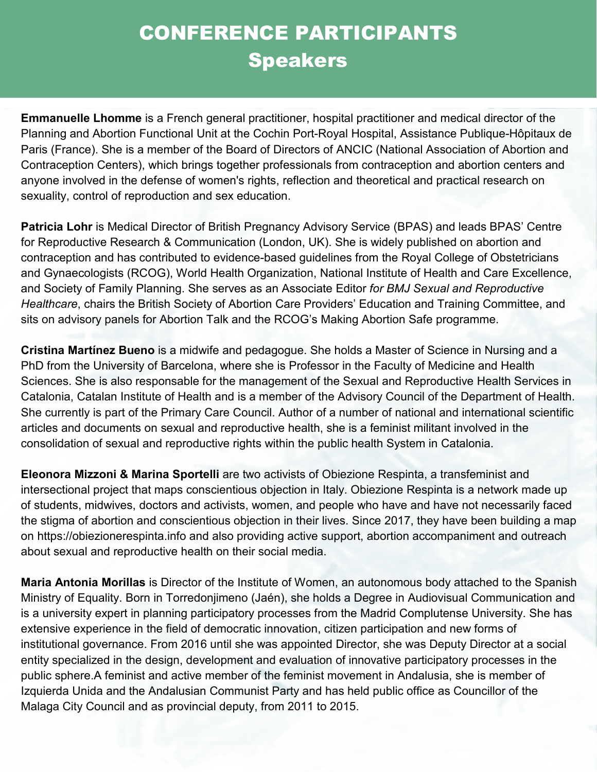**Emmanuelle Lhomme** is a French general practitioner, hospital practitioner and medical director of the Planning and Abortion Functional Unit at the Cochin Port-Royal Hospital, Assistance Publique-Hôpitaux de Paris (France). She is a member of the Board of Directors of ANCIC (National Association of Abortion and Contraception Centers), which brings together professionals from contraception and abortion centers and anyone involved in the defense of women's rights, reflection and theoretical and practical research on sexuality, control of reproduction and sex education.

**Patricia Lohr** is Medical Director of British Pregnancy Advisory Service (BPAS) and leads BPAS' Centre for Reproductive Research & Communication (London, UK). She is widely published on abortion and contraception and has contributed to evidence-based guidelines from the Royal College of Obstetricians and Gynaecologists (RCOG), World Health Organization, National Institute of Health and Care Excellence, and Society of Family Planning. She serves as an Associate Editor *for BMJ Sexual and Reproductive Healthcare*, chairs the British Society of Abortion Care Providers' Education and Training Committee, and sits on advisory panels for Abortion Talk and the RCOG's Making Abortion Safe programme.

**Cristina Martínez Bueno** is a midwife and pedagogue. She holds a Master of Science in Nursing and a PhD from the University of Barcelona, where she is Professor in the Faculty of Medicine and Health Sciences. She is also responsable for the management of the Sexual and Reproductive Health Services in Catalonia, Catalan Institute of Health and is a member of the Advisory Council of the Department of Health. She currently is part of the Primary Care Council. Author of a number of national and international scientific articles and documents on sexual and reproductive health, she is a feminist militant involved in the consolidation of sexual and reproductive rights within the public health System in Catalonia.

**Eleonora Mizzoni & Marina Sportelli** are two activists of Obiezione Respinta, a transfeminist and intersectional project that maps conscientious objection in Italy. Obiezione Respinta is a network made up of students, midwives, doctors and activists, women, and people who have and have not necessarily faced the stigma of abortion and conscientious objection in their lives. Since 2017, they have been building a map on https://obiezionerespinta.info and also providing active support, abortion accompaniment and outreach about sexual and reproductive health on their social media.

**Maria Antonia Morillas** is Director of the Institute of Women, an autonomous body attached to the Spanish Ministry of Equality. Born in Torredonjimeno (Jaén), she holds a Degree in Audiovisual Communication and is a university expert in planning participatory processes from the Madrid Complutense University. She has extensive experience in the field of democratic innovation, citizen participation and new forms of institutional governance. From 2016 until she was appointed Director, she was Deputy Director at a social entity specialized in the design, development and evaluation of innovative participatory processes in the public sphere.A feminist and active member of the feminist movement in Andalusia, she is member of Izquierda Unida and the Andalusian Communist Party and has held public office as Councillor of the Malaga City Council and as provincial deputy, from 2011 to 2015.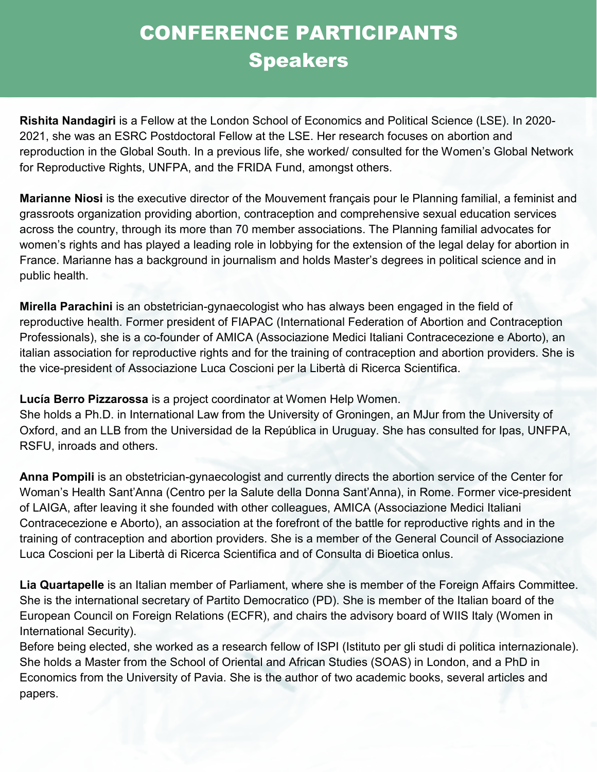**Rishita Nandagiri** is a Fellow at the London School of Economics and Political Science (LSE). In 2020- 2021, she was an ESRC Postdoctoral Fellow at the LSE. Her research focuses on abortion and reproduction in the Global South. In a previous life, she worked/ consulted for the Women's Global Network for Reproductive Rights, UNFPA, and the FRIDA Fund, amongst others.

**Marianne Niosi** is the executive director of the Mouvement français pour le Planning familial, a feminist and grassroots organization providing abortion, contraception and comprehensive sexual education services across the country, through its more than 70 member associations. The Planning familial advocates for women's rights and has played a leading role in lobbying for the extension of the legal delay for abortion in France. Marianne has a background in journalism and holds Master's degrees in political science and in public health.

**Mirella Parachini** is an obstetrician-gynaecologist who has always been engaged in the field of reproductive health. Former president of FIAPAC (International Federation of Abortion and Contraception Professionals), she is a co-founder of AMICA (Associazione Medici Italiani Contracecezione e Aborto), an italian association for reproductive rights and for the training of contraception and abortion providers. She is the vice-president of Associazione Luca Coscioni per la Libertà di Ricerca Scientifica.

**Lucía Berro Pizzarossa** is a project coordinator at Women Help Women.

She holds a Ph.D. in International Law from the University of Groningen, an MJur from the University of Oxford, and an LLB from the Universidad de la República in Uruguay. She has consulted for Ipas, UNFPA, RSFU, inroads and others.

**Anna Pompili** is an obstetrician-gynaecologist and currently directs the abortion service of the Center for Woman's Health Sant'Anna (Centro per la Salute della Donna Sant'Anna), in Rome. Former vice-president of LAIGA, after leaving it she founded with other colleagues, AMICA (Associazione Medici Italiani Contracecezione e Aborto), an association at the forefront of the battle for reproductive rights and in the training of contraception and abortion providers. She is a member of the General Council of Associazione Luca Coscioni per la Libertà di Ricerca Scientifica and of Consulta di Bioetica onlus.

**Lia Quartapelle** is an Italian member of Parliament, where she is member of the Foreign Affairs Committee. She is the international secretary of Partito Democratico (PD). She is member of the Italian board of the European Council on Foreign Relations (ECFR), and chairs the advisory board of WIIS Italy (Women in International Security).

Before being elected, she worked as a research fellow of ISPI (Istituto per gli studi di politica internazionale). She holds a Master from the School of Oriental and African Studies (SOAS) in London, and a PhD in Economics from the University of Pavia. She is the author of two academic books, several articles and papers.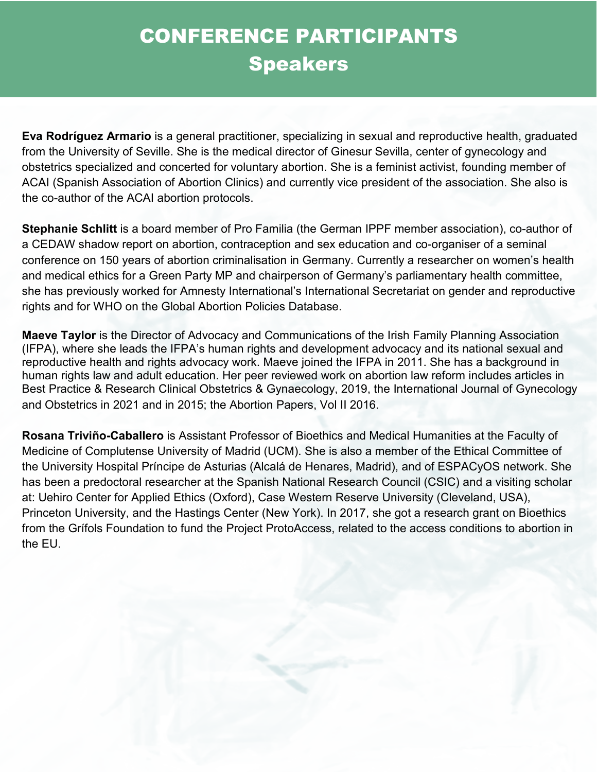**Eva Rodríguez Armario** is a general practitioner, specializing in sexual and reproductive health, graduated from the University of Seville. She is the medical director of Ginesur Sevilla, center of gynecology and obstetrics specialized and concerted for voluntary abortion. She is a feminist activist, founding member of ACAI (Spanish Association of Abortion Clinics) and currently vice president of the association. She also is the co-author of the ACAI abortion protocols.

**Stephanie Schlitt** is a board member of Pro Familia (the German IPPF member association), co-author of a CEDAW shadow report on abortion, contraception and sex education and co-organiser of a seminal conference on 150 years of abortion criminalisation in Germany. Currently a researcher on women's health and medical ethics for a Green Party MP and chairperson of Germany's parliamentary health committee, she has previously worked for Amnesty International's International Secretariat on gender and reproductive rights and for WHO on the Global Abortion Policies Database.

**Maeve Taylor** is the Director of Advocacy and Communications of the Irish Family Planning Association (IFPA), where she leads the IFPA's human rights and development advocacy and its national sexual and reproductive health and rights advocacy work. Maeve joined the IFPA in 2011. She has a background in human rights law and adult education. Her peer reviewed work on abortion law reform includes articles in Best Practice & Research Clinical Obstetrics & Gynaecology, 2019, the International Journal of Gynecology and Obstetrics in 2021 and in 2015; the Abortion Papers, Vol II 2016.

**Rosana Triviño-Caballero** is Assistant Professor of Bioethics and Medical Humanities at the Faculty of Medicine of Complutense University of Madrid (UCM). She is also a member of the Ethical Committee of the University Hospital Príncipe de Asturias (Alcalá de Henares, Madrid), and of ESPACyOS network. She has been a predoctoral researcher at the Spanish National Research Council (CSIC) and a visiting scholar at: Uehiro Center for Applied Ethics (Oxford), Case Western Reserve University (Cleveland, USA), Princeton University, and the Hastings Center (New York). In 2017, she got a research grant on Bioethics from the Grífols Foundation to fund the Project ProtoAccess, related to the access conditions to abortion in the EU.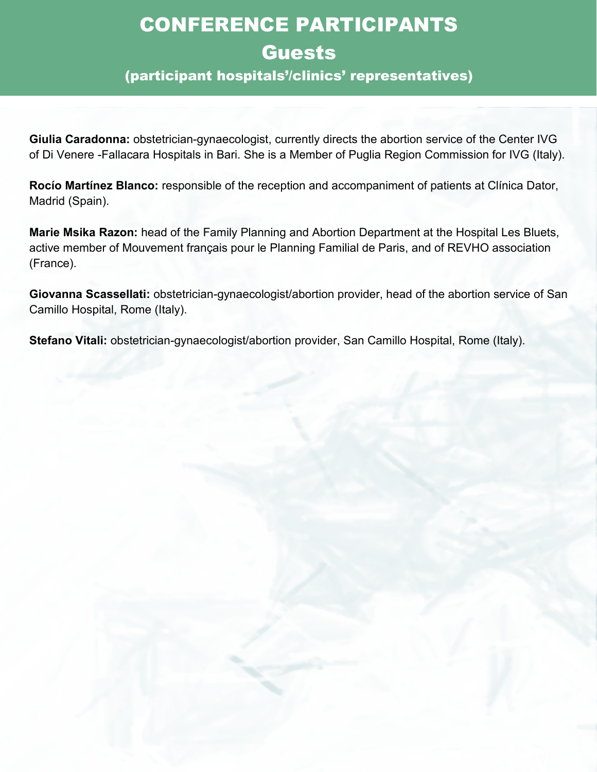## CONFERENCE PARTICIPANTS Guests

#### (participant hospitals'/clinics' representatives)

**Giulia Caradonna:** obstetrician-gynaecologist, currently directs the abortion service of the Center IVG of Di Venere -Fallacara Hospitals in Bari. She is a Member of Puglia Region Commission for IVG (Italy).

**Rocío Martínez Blanco:** responsible of the reception and accompaniment of patients at Clínica Dator, Madrid (Spain).

**Marie Msika Razon:** head of the Family Planning and Abortion Department at the Hospital Les Bluets, active member of Mouvement français pour le Planning Familial de Paris, and of REVHO association (France).

**Giovanna Scassellati:** obstetrician-gynaecologist/abortion provider, head of the abortion service of San Camillo Hospital, Rome (Italy).

**Stefano Vitali:** obstetrician-gynaecologist/abortion provider, San Camillo Hospital, Rome (Italy).